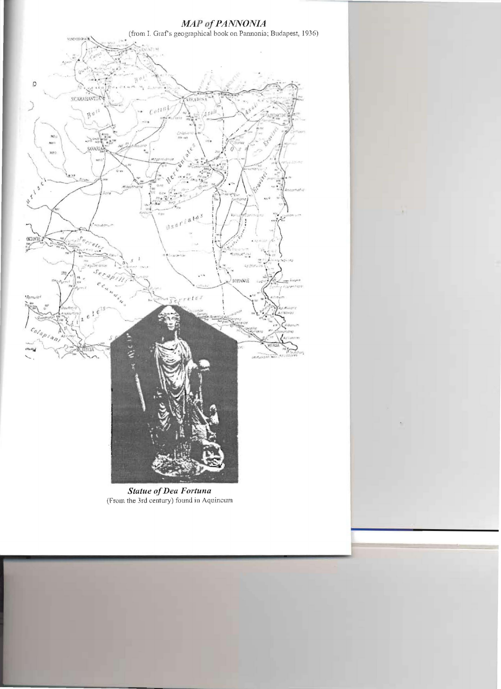

**Statue of Dea Fortuna** (From the 3rd century) found in Aquincum